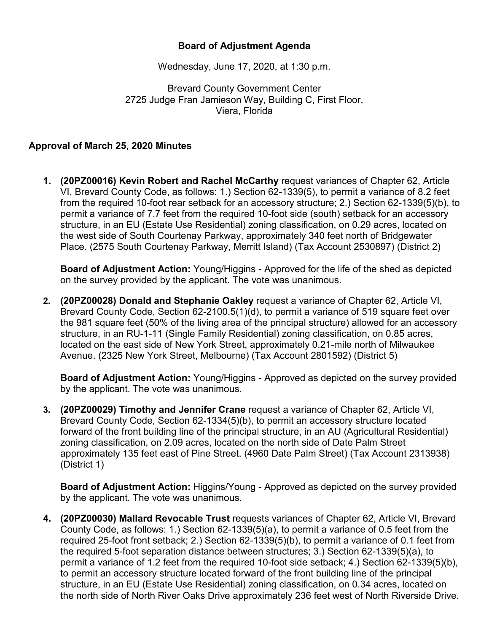## **Board of Adjustment Agenda**

Wednesday, June 17, 2020, at 1:30 p.m.

Brevard County Government Center 2725 Judge Fran Jamieson Way, Building C, First Floor, Viera, Florida

## **Approval of March 25, 2020 Minutes**

**1. (20PZ00016) Kevin Robert and Rachel McCarthy** request variances of Chapter 62, Article VI, Brevard County Code, as follows: 1.) Section 62-1339(5), to permit a variance of 8.2 feet from the required 10-foot rear setback for an accessory structure; 2.) Section 62-1339(5)(b), to permit a variance of 7.7 feet from the required 10-foot side (south) setback for an accessory structure, in an EU (Estate Use Residential) zoning classification, on 0.29 acres, located on the west side of South Courtenay Parkway, approximately 340 feet north of Bridgewater Place. (2575 South Courtenay Parkway, Merritt Island) (Tax Account 2530897) (District 2)

**Board of Adjustment Action:** Young/Higgins - Approved for the life of the shed as depicted on the survey provided by the applicant. The vote was unanimous.

**2. (20PZ00028) Donald and Stephanie Oakley** request a variance of Chapter 62, Article VI, Brevard County Code, Section 62-2100.5(1)(d), to permit a variance of 519 square feet over the 981 square feet (50% of the living area of the principal structure) allowed for an accessory structure, in an RU-1-11 (Single Family Residential) zoning classification, on 0.85 acres, located on the east side of New York Street, approximately 0.21-mile north of Milwaukee Avenue. (2325 New York Street, Melbourne) (Tax Account 2801592) (District 5)

**Board of Adjustment Action:** Young/Higgins - Approved as depicted on the survey provided by the applicant. The vote was unanimous.

**3. (20PZ00029) Timothy and Jennifer Crane** request a variance of Chapter 62, Article VI, Brevard County Code, Section 62-1334(5)(b), to permit an accessory structure located forward of the front building line of the principal structure, in an AU (Agricultural Residential) zoning classification, on 2.09 acres, located on the north side of Date Palm Street approximately 135 feet east of Pine Street. (4960 Date Palm Street) (Tax Account 2313938) (District 1)

**Board of Adjustment Action:** Higgins/Young - Approved as depicted on the survey provided by the applicant. The vote was unanimous.

**4. (20PZ00030) Mallard Revocable Trust** requests variances of Chapter 62, Article VI, Brevard County Code, as follows: 1.) Section 62-1339(5)(a), to permit a variance of 0.5 feet from the required 25-foot front setback; 2.) Section 62-1339(5)(b), to permit a variance of 0.1 feet from the required 5-foot separation distance between structures; 3.) Section 62-1339(5)(a), to permit a variance of 1.2 feet from the required 10-foot side setback; 4.) Section 62-1339(5)(b), to permit an accessory structure located forward of the front building line of the principal structure, in an EU (Estate Use Residential) zoning classification, on 0.34 acres, located on the north side of North River Oaks Drive approximately 236 feet west of North Riverside Drive.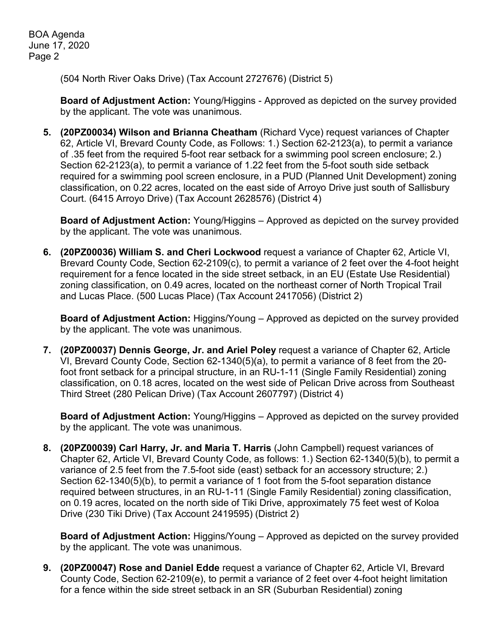(504 North River Oaks Drive) (Tax Account 2727676) (District 5)

**Board of Adjustment Action:** Young/Higgins - Approved as depicted on the survey provided by the applicant. The vote was unanimous.

**5. (20PZ00034) Wilson and Brianna Cheatham** (Richard Vyce) request variances of Chapter 62, Article VI, Brevard County Code, as Follows: 1.) Section 62-2123(a), to permit a variance of .35 feet from the required 5-foot rear setback for a swimming pool screen enclosure; 2.) Section 62-2123(a), to permit a variance of 1.22 feet from the 5-foot south side setback required for a swimming pool screen enclosure, in a PUD (Planned Unit Development) zoning classification, on 0.22 acres, located on the east side of Arroyo Drive just south of Sallisbury Court. (6415 Arroyo Drive) (Tax Account 2628576) (District 4)

**Board of Adjustment Action:** Young/Higgins – Approved as depicted on the survey provided by the applicant. The vote was unanimous.

**6. (20PZ00036) William S. and Cheri Lockwood** request a variance of Chapter 62, Article VI, Brevard County Code, Section 62-2109(c), to permit a variance of 2 feet over the 4-foot height requirement for a fence located in the side street setback, in an EU (Estate Use Residential) zoning classification, on 0.49 acres, located on the northeast corner of North Tropical Trail and Lucas Place. (500 Lucas Place) (Tax Account 2417056) (District 2)

**Board of Adjustment Action:** Higgins/Young – Approved as depicted on the survey provided by the applicant. The vote was unanimous.

**7. (20PZ00037) Dennis George, Jr. and Ariel Poley** request a variance of Chapter 62, Article VI, Brevard County Code, Section 62-1340(5)(a), to permit a variance of 8 feet from the 20 foot front setback for a principal structure, in an RU-1-11 (Single Family Residential) zoning classification, on 0.18 acres, located on the west side of Pelican Drive across from Southeast Third Street (280 Pelican Drive) (Tax Account 2607797) (District 4)

**Board of Adjustment Action:** Young/Higgins – Approved as depicted on the survey provided by the applicant. The vote was unanimous.

**8. (20PZ00039) Carl Harry, Jr. and Maria T. Harris** (John Campbell) request variances of Chapter 62, Article VI, Brevard County Code, as follows: 1.) Section 62-1340(5)(b), to permit a variance of 2.5 feet from the 7.5-foot side (east) setback for an accessory structure; 2.) Section 62-1340(5)(b), to permit a variance of 1 foot from the 5-foot separation distance required between structures, in an RU-1-11 (Single Family Residential) zoning classification, on 0.19 acres, located on the north side of Tiki Drive, approximately 75 feet west of Koloa Drive (230 Tiki Drive) (Tax Account 2419595) (District 2)

**Board of Adjustment Action:** Higgins/Young – Approved as depicted on the survey provided by the applicant. The vote was unanimous.

**9. (20PZ00047) Rose and Daniel Edde** request a variance of Chapter 62, Article VI, Brevard County Code, Section 62-2109(e), to permit a variance of 2 feet over 4-foot height limitation for a fence within the side street setback in an SR (Suburban Residential) zoning